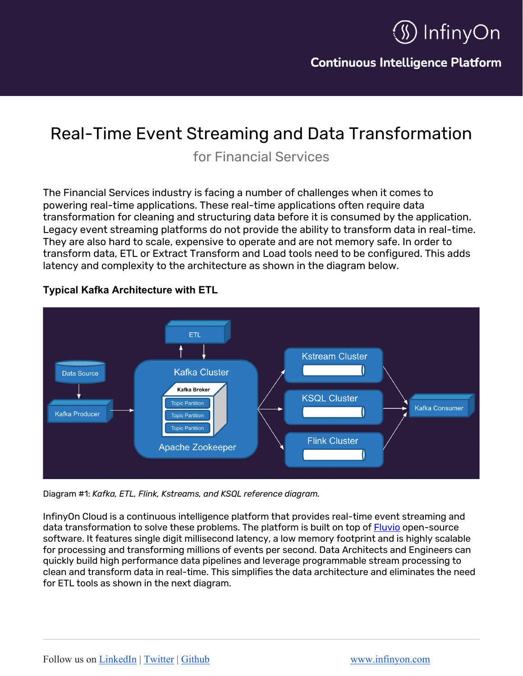

**Continuous Intelligence Platform** 

# Real-Time Event Streaming and Data Transformation

for Financial Services

The Financial Services industry is facing a number of challenges when it comes to powering real-time applications. These real-time applications often require data transformation for cleaning and structuring data before it is consumed by the application. Legacy event streaming platforms do not provide the ability to transform data in real-time. They are also hard to scale, expensive to operate and are not memory safe. In order to transform data, ETL or Extract Transform and Load tools need to be configured. This adds latency and complexity to the architecture as shown in the diagram below.



### **Typical Kafka Architecture with ETL**

Diagram #1: *Kafka, ETL, Flink, Kstreams, and KSQL reference diagram.*

InfinyOn Cloud is a continuous intelligence platform that provides real-time event streaming and data transformation to solve these problems. The platform is built on top of Fluvio open-source software. It features single digit millisecond latency, a low memory footprint and is highly scalable for processing and transforming millions of events per second. Data Architects and Engineers can quickly build high performance data pipelines and leverage programmable stream processing to clean and transform data in real-time. This simplifies the data architecture and eliminates the need for ETL tools as shown in the next diagram.